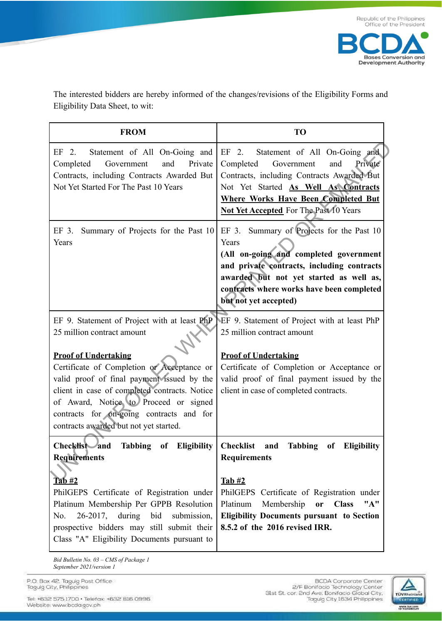



The interested bidders are hereby informed of the changes/revisions of the Eligibility Forms and Eligibility Data Sheet, to wit:

| <b>FROM</b>                                                                                                                                                                                                                                                                                                                                                                           | <b>TO</b>                                                                                                                                                                                                                                                                                        |  |  |  |
|---------------------------------------------------------------------------------------------------------------------------------------------------------------------------------------------------------------------------------------------------------------------------------------------------------------------------------------------------------------------------------------|--------------------------------------------------------------------------------------------------------------------------------------------------------------------------------------------------------------------------------------------------------------------------------------------------|--|--|--|
| EF 2.<br>Statement of All On-Going and<br>and<br>Private<br>Completed<br>Government<br>Contracts, including Contracts Awarded But<br>Not Yet Started For The Past 10 Years                                                                                                                                                                                                            | Statement of All On-Going and<br>EF 2.<br>Private<br>Completed<br>Government<br>and<br>Contracts, including Contracts Awarded But<br>Not Yet Started As Well As Contracts<br><b>Where Works Have Been Completed But</b><br><b>Not Yet Accepted</b> For The Past 10 Years                         |  |  |  |
| EF 3.<br>Summary of Projects for the Past 10<br>Years                                                                                                                                                                                                                                                                                                                                 | EF 3. Summary of Projects for the Past 10<br>Years<br>(All on-going and completed government<br>and private contracts, including contracts<br>awarded but not yet started as well as,<br>contracts where works have been completed<br>but not yet accepted)                                      |  |  |  |
| EF 9. Statement of Project with at least PhP<br>25 million contract amount<br><b>Proof of Undertaking</b><br>Certificate of Completion or Acceptance or<br>valid proof of final payment issued by the<br>client in case of completed contracts. Notice<br>of Award, Notice to Proceed or signed<br>contracts for on-going contracts and for<br>contracts awarded but not yet started. | EF 9. Statement of Project with at least PhP<br>25 million contract amount<br><b>Proof of Undertaking</b><br>Certificate of Completion or Acceptance or<br>valid proof of final payment issued by the<br>client in case of completed contracts.                                                  |  |  |  |
| Checklist and<br>of Eligibility<br>Tabbing<br><b>Requirements</b><br><u>Tab #2</u><br>PhilGEPS Certificate of Registration under<br>Platinum Membership Per GPPB Resolution<br>26-2017, during<br>bid<br>No.<br>submission,<br>prospective bidders may still submit their<br>Class "A" Eligibility Documents pursuant to                                                              | <b>Checklist</b><br><b>Tabbing</b><br>of<br><b>Eligibility</b><br>and<br><b>Requirements</b><br>Tab#2<br>PhilGEPS Certificate of Registration under<br>Platinum<br>Membership<br><b>Class</b><br>"A"<br>or<br><b>Eligibility Documents pursuant to Section</b><br>8.5.2 of the 2016 revised IRR. |  |  |  |

*Bid Bulletin No. 03 – CMS of Package 1 September 2021/version 1*

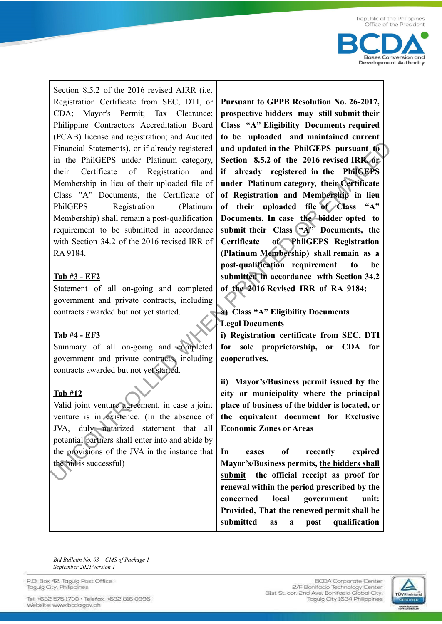

Section 8.5.2 of the 2016 revised AIRR (i.e. Registration Certificate from SEC, DTI, or CDA; Mayor's Permit; Tax Clearance; Philippine Contractors Accreditation Board (PCAB) license and registration; and Audited Financial Statements), or if already registered in the PhilGEPS under Platinum category, their Certificate of Registration and Membership in lieu of their uploaded file of Class "A" Documents, the Certificate of PhilGEPS Registration (Platinum Membership) shall remain a post-qualification requirement to be submitted in accordance with Section 34.2 of the 2016 revised IRR of RA 9184.

## **Tab #3 - EF2**

Statement of all on-going and completed government and private contracts, including contracts awarded but not yet started.

## **Tab #4 - EF3**

Summary of all on-going and completed government and private contracts, including contracts awarded but not yet started.

# **Tab #12**

Valid joint venture agreement, in case a joint venture is in existence. (In the absence of JVA, duly notarized statement that all potential partners shall enter into and abide by the provisions of the JVA in the instance that the bid is successful)

**Pursuant to GPPB Resolution No. 26-2017, prospective bidders may still submit their Class "A" Eligibility Documents required to be uploaded and maintained current and updated in the PhilGEPS pursuant to Section 8.5.2 of the 2016 revised IRR, or if already registered in the PhilGEPS under Platinum category, their Certificate of Registration and Membership in lieu of their uploaded file of Class "A" Documents. In case the bidder opted to** submit their Class  $(x_A^N)$  Documents, the **Certificate of PhilGEPS Registration (Platinum Membership) shall remain as a post-qualification requirement to be submitted in accordance with Section 34.2 of the 2016 Revised IRR of RA 9184;** Financial Statements), or if already registered<br>
in the PhiliGEPS unreation Statement (Second 1982) of the 2016 revised RR, or<br>
their Certificate of Registration and if already registered in the PhiliGEPS<br>
Membership in l

#### **a) Class "A" Eligibility Documents Legal Documents**

**i) Registration certificate from SEC, DTI for sole proprietorship, or CDA for cooperatives.**

**ii) Mayor's/Business permit issued by the city or municipality where the principal place of business of the bidder is located, or the equivalent document for Exclusive Economic Zones or Areas**

**In cases of recently expired Mayor's/Business permits, the bidders shall submit the official receipt as proof for renewal within the period prescribed by the concerned local government unit: Provided, That the renewed permit shall be submitted as a post qualification**

*Bid Bulletin No. 03 – CMS of Package 1 September 2021/version 1*

P.O. Box 42. Taquig Post Office Taquig City, Philippines

Tel: +632 575 1700 . Telefax: +632 816 0996 Website: www.bcda.gov.ph

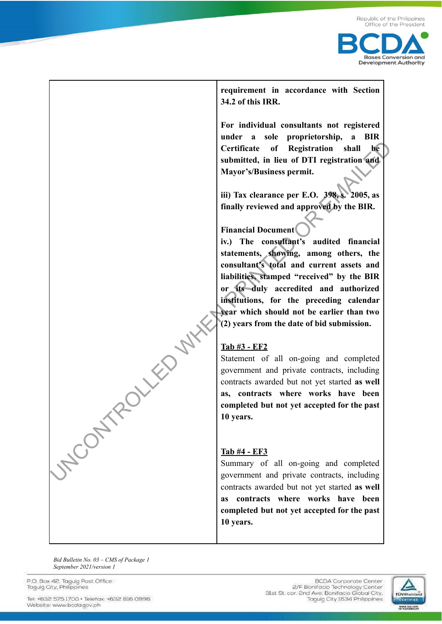



**requirement in accordance with Section 34.2 of this IRR.**

**For individual consultants not registered under a sole proprietorship, a BIR Certificate of Registration shall be submitted, in lieu of DTI registration and Mayor's/Business permit.**

**iii) Tax clearance per E.O. 398, s. 2005, as finally reviewed and approved by the BIR.**

# **Financial Document**

**iv.) The consultant's audited financial statements, showing, among others, the consultant's total and current assets and liabilities, stamped "received" by the BIR or its duly accredited and authorized institutions, for the preceding calendar year which should not be earlier than two (2) years from the date of bid submission.**

# **Tab #3 - EF2**

Statement of all on-going and completed government and private contracts, including contracts awarded but not yet started **as well as, contracts where works have been completed but not yet accepted for the past 10 years.**

## **Tab #4 - EF3**

Summary of all on-going and completed government and private contracts, including contracts awarded but not yet started **as well as contracts where works have been completed but not yet accepted for the past 10 years.**

*Bid Bulletin No. 03 – CMS of Package 1 September 2021/version 1*

NCONTROLLED WH

P.O. Box 42. Taquig Post Office Taquig City, Philippines

Tel: +632 575 1700 · Telefax: +632 816 0996 Website: www.bcda.gov.ph

**BCDA** Corporate Center 2/F Bonifacio Technology Center 31st St. cor. 2nd Ave. Bonifacio Global City, Taguig City 1634 Philippines

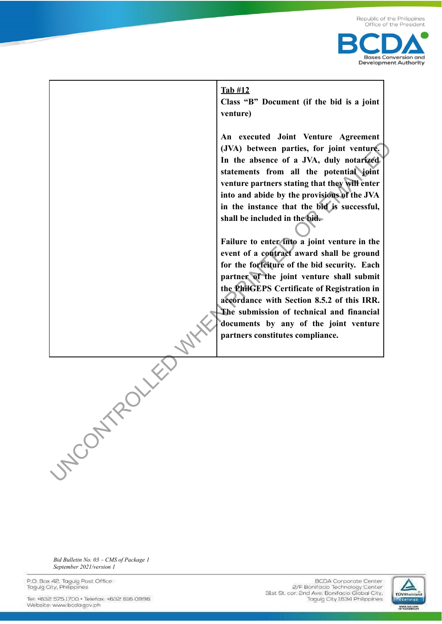

#### **Tab #12**

**Class "B" Document (if the bid is a joint venture)**

**An executed Joint Venture Agreement (JVA) between parties, for joint venture. In the absence of a JVA, duly notarized statements from all the potential joint venture partners stating that they will enter into and abide by the provisions of the JVA in the instance that the bid is successful, shall be included in the bid.**

**Failure to enter into a joint venture in the event of a contract award shall be ground for the forfeiture of the bid security. Each partner of the joint venture shall submit the PhilGEPS Certificate of Registration in accordance with Section 8.5.2 of this IRR. The submission of technical and financial documents by any of the joint venture partners constitutes compliance.**

*Bid Bulletin No. 03 – CMS of Package 1 September 2021/version 1*

**UNCONTROLLED** 

P.O. Box 42. Taquig Post Office Taquig City, Philippines

Tel: +632 575 1700 · Telefax: +632 816 0996 Website: www.bcda.gov.ph

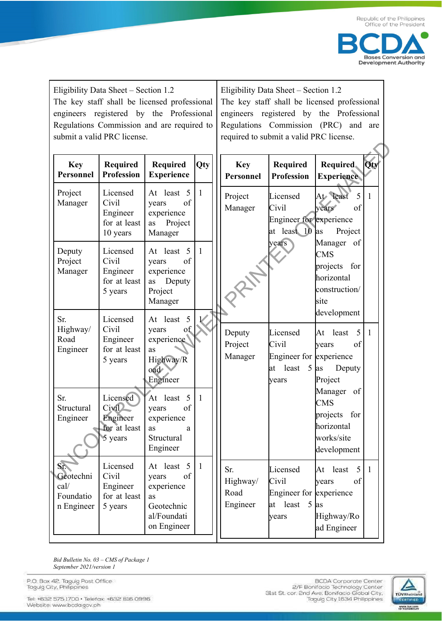

Eligibility Data Sheet – Section 1.2 The key staff shall be licensed professional engineers registered by the Professional Regulations Commission and are required to submit a valid PRC license.

Eligibility Data Sheet – Section 1.2 The key staff shall be licensed professional engineers registered by the Professional Regulations Commission (PRC) and are required to submit a valid PRC license.

| <b>Key</b><br>Personnel                             | <b>Required</b><br><b>Profession</b>                            | <b>Required</b><br><b>Experience</b>                                                      | Qty          | <b>Key</b><br>Personnel             | Required<br><b>Profession</b>                                              | Required.<br><b>Experience</b>                                                            | Qty |
|-----------------------------------------------------|-----------------------------------------------------------------|-------------------------------------------------------------------------------------------|--------------|-------------------------------------|----------------------------------------------------------------------------|-------------------------------------------------------------------------------------------|-----|
| Project<br>Manager                                  | Licensed<br>Civil<br>Engineer<br>for at least<br>10 years       | At least 5<br>of<br>years<br>experience<br>Project<br>as<br>Manager                       | $\mathbf{1}$ | Project<br>Manager                  | Licensed<br>Civil<br>Engineer for experience<br>at least 10                | At least<br>5<br>of<br>years<br>Project<br><sub>las</sub>                                 | 1   |
| Deputy<br>Project<br>Manager                        | Licensed<br>Civil<br>Engineer<br>for at least<br>5 years        | At least 5<br>of<br>years<br>experience<br>Deputy<br>as<br>Project<br>Manager             | $\mathbf{1}$ |                                     | years                                                                      | Manager<br>of<br><b>CMS</b><br>for<br>projects<br>horizontal<br>construction/<br>site     |     |
| Sr.<br>Highway/<br>Road<br>Engineer                 | Licensed<br>Civil<br>Engineer<br>for at least<br>5 years        | At least 5<br>of<br>years<br>experience<br>as<br>Highway/R<br>oad<br>Engineer             |              | Deputy<br>Project<br>Manager        | Licensed<br>Civil<br>Engineer for experience<br>least<br>5<br>lat<br>years | development<br>least<br>5<br>At<br>of<br>years<br>Deputy<br>as<br>Project                 | 1   |
| Sr.<br>Structural<br>Engineer                       | Licensed<br><b>Civil</b><br>Engineer<br>for at least<br>5 years | At least 5<br>of<br>years<br>experience<br>as<br>a<br>Structural<br>Engineer              | 1            |                                     |                                                                            | Manager<br>of<br><b>CMS</b><br>projects<br>for<br>horizontal<br>works/site<br>development |     |
| Sr.<br>Geotechni<br>cal/<br>Foundatio<br>n Engineer | Licensed<br>Civil<br>Engineer<br>for at least<br>5 years        | At least 5<br>years<br>of<br>experience<br>as<br>Geotechnic<br>al/Foundati<br>on Engineer | $\mathbf{1}$ | Sr.<br>Highway/<br>Road<br>Engineer | Licensed<br>Civil<br>Engineer for experience<br>at least<br>years          | 5<br>At least<br>of<br>years<br>$5$ as<br>Highway/Ro<br>ad Engineer                       | 1   |

*Bid Bulletin No. 03 – CMS of Package 1 September 2021/version 1*

P.O. Box 42. Taguig Post Office Taguig City, Philippines

Tel: +632 575 1700 · Telefax: +632 816 0996 Website: www.bcda.gov.ph

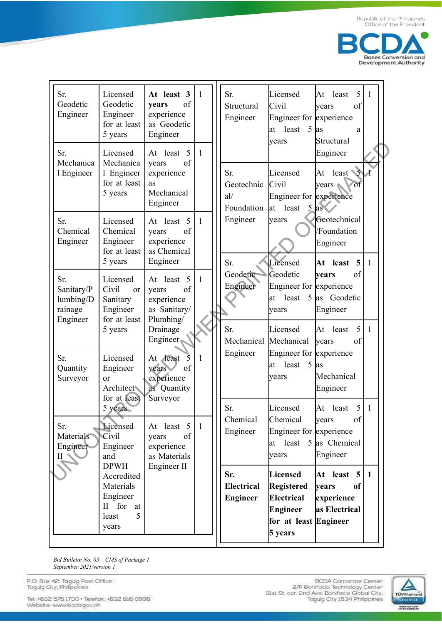

| Sr.<br>Geodetic<br>Engineer                           | Licensed<br>Geodetic<br>Engineer<br>for at least<br>5 years                               | At least 3<br>of<br>years<br>experience<br>as Geodetic<br>Engineer                            | $\mathbf{1}$ | Sr.<br>Structural<br>Engineer            | Licensed<br>Civil<br>Engineer for experience<br>5<br>least<br>lat<br>years                  | 5<br>least<br>At<br>of<br>years<br>as<br>a<br>Structural                  | $\mathbf{1}$     |
|-------------------------------------------------------|-------------------------------------------------------------------------------------------|-----------------------------------------------------------------------------------------------|--------------|------------------------------------------|---------------------------------------------------------------------------------------------|---------------------------------------------------------------------------|------------------|
| Sr.<br>Mechanica<br>1 Engineer                        | Licensed<br>Mechanica<br>1 Engineer<br>for at least<br>5 years                            | At least 5<br>of<br>years<br>experience<br>as<br>Mechanical<br>Engineer                       | $\mathbf{1}$ | Sr.<br>Geotechnic<br>al/<br>Foundation   | Licensed<br>Civil<br>Engineer for experience<br>least<br>at                                 | Engineer<br>$least$ $\sim$<br>At<br>of<br>$years \triangleleft$<br>$5$ as | $\boldsymbol{A}$ |
| Sr.<br>Chemical<br>Engineer                           | Licensed<br>Chemical<br>Engineer<br>for at least<br>5 years                               | At least 5<br>of<br>years<br>experience<br>as Chemical<br>Engineer                            | $\mathbf{1}$ | Engineer<br>Sr.                          | years<br>Licensed                                                                           | Geotechnical<br>/Foundation<br>Engineer<br>$\overline{5}$<br>least<br>At  | 1                |
| Sr.<br>Sanitary/P<br>lumbing/D<br>rainage<br>Engineer | Licensed<br>Civil<br>or<br>Sanitary<br>Engineer<br>for at least                           | At least 5<br>of<br>years<br>experience<br>as Sanitary/<br>Plumbing/                          | $\mathbf{1}$ | Geodetic<br>Engineer                     | Geodetic<br>Engineer for experience<br>least<br>lat<br>years                                | of<br>vears<br>5 as Geodetic<br>Engineer                                  |                  |
| Sr.<br>Quantity<br>Surveyor                           | 5 years<br>Licensed<br>Engineer<br>$\alpha$ r<br><b>Architect</b><br>for at least         | Drainage<br>Engineer<br>At least<br>5<br>of<br>years<br>experience<br>as Quantity<br>Surveyor | 1            | Sr.<br>Mechanical Mechanical<br>Engineer | Licensed<br>Engineer for experience<br>least<br>5<br>at<br>years                            | 5<br> At<br>least<br>of<br>years<br>as<br>Mechanical<br>Engineer          | 1                |
| Sr.<br>Materials<br>Engineer<br>ILN                   | 5 years<br>Licensed<br><b>Civil</b><br>Engineer<br>and                                    | At least 5<br>of<br>years<br>experience<br>as Materials                                       | $\mathbf{1}$ | Sr.<br>Chemical<br>Engineer              | Licensed<br>Chemical<br>Engineer for experience<br>at<br>years                              | 5<br>At least<br>of<br>years<br>least $5$ as Chemical<br>Engineer         | 1                |
|                                                       | <b>DPWH</b><br>Accredited<br>Materials<br>Engineer<br>II for<br>at<br>5<br>least<br>years | Engineer II                                                                                   |              | Sr.<br>Electrical<br><b>Engineer</b>     | Licensed<br><b>Registered</b><br>Electrical<br>Engineer<br>for at least Engineer<br>5 years | At least 5<br>of<br>years<br>experience<br>as Electrical                  | $\mathbf{1}$     |

Bid Bulletin No. 03 - CMS of Package 1 September 2021/version 1

P.O. Box 42, Taguig Post Office<br>Taguig City, Philippines

Tel: +632 575 1700 · Telefax: +632 816 0996 Website: www.bcda.gov.ph